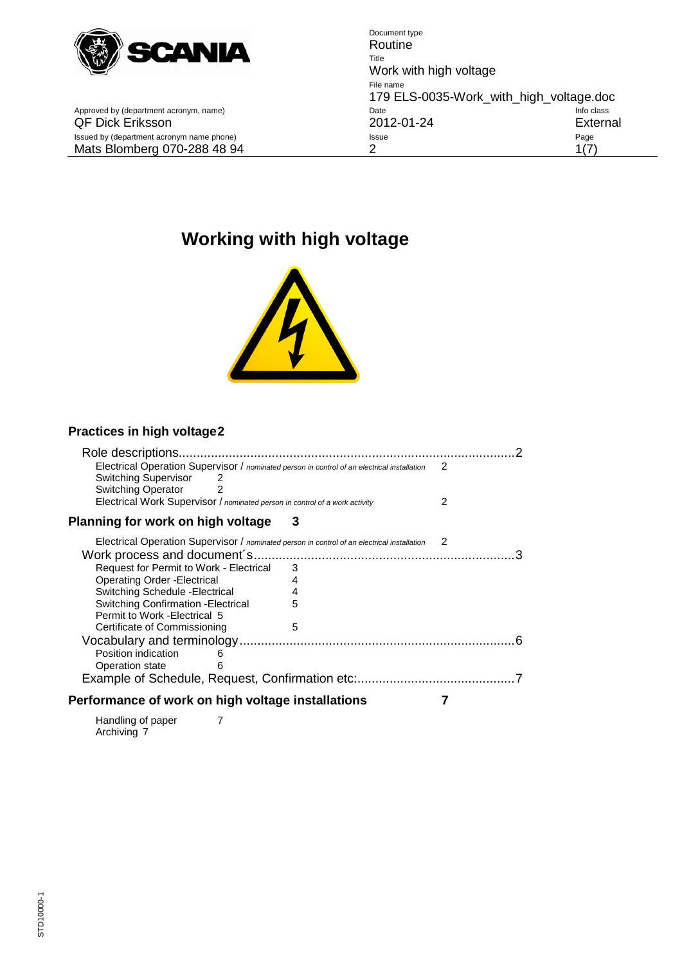

Approved by (department acronym, name) Date Date Date Deck Eriksson and CDF Dick Eriksson

Document type Routine Title Work with high voltage File name 179 ELS-0035-Work\_with\_high\_voltage.doc<br>Date Info class<br>2012-01-24 External QF Dick Eriksson 2012-01-24 External Issued by (department acronym name phone) and the extra state of the state of the Page Page Page Page Mats Blomberg 070-288 48 94 2 2 1(7)

# **Working with high voltage**



## **[Practices in high voltage2](#page-1-0)**

| Role descriptions.                                                                                                                                                                                                                               |        |
|--------------------------------------------------------------------------------------------------------------------------------------------------------------------------------------------------------------------------------------------------|--------|
| Electrical Operation Supervisor / nominated person in control of an electrical installation<br><b>Switching Supervisor</b><br>2<br><b>Switching Operator</b><br>2<br>Electrical Work Supervisor / nominated person in control of a work activity | 2<br>2 |
|                                                                                                                                                                                                                                                  | З      |
| Planning for work on high voltage                                                                                                                                                                                                                |        |
| Electrical Operation Supervisor / nominated person in control of an electrical installation                                                                                                                                                      | 2      |
|                                                                                                                                                                                                                                                  |        |
| Request for Permit to Work - Electrical                                                                                                                                                                                                          | 3      |
| Operating Order - Electrical                                                                                                                                                                                                                     | 4      |
| Switching Schedule - Electrical                                                                                                                                                                                                                  | 4      |
| <b>Switching Confirmation - Electrical</b>                                                                                                                                                                                                       | 5      |
| Permit to Work - Electrical 5                                                                                                                                                                                                                    |        |
| Certificate of Commissioning                                                                                                                                                                                                                     | 5      |
|                                                                                                                                                                                                                                                  |        |
| Position indication<br>6                                                                                                                                                                                                                         |        |
| Operation state<br>6                                                                                                                                                                                                                             |        |
| Example of Schedule, Request, Confirmation etc:                                                                                                                                                                                                  |        |
| Performance of work on high voltage installations                                                                                                                                                                                                |        |
| Handling of paper                                                                                                                                                                                                                                |        |

[Archiving](#page-6-3) 7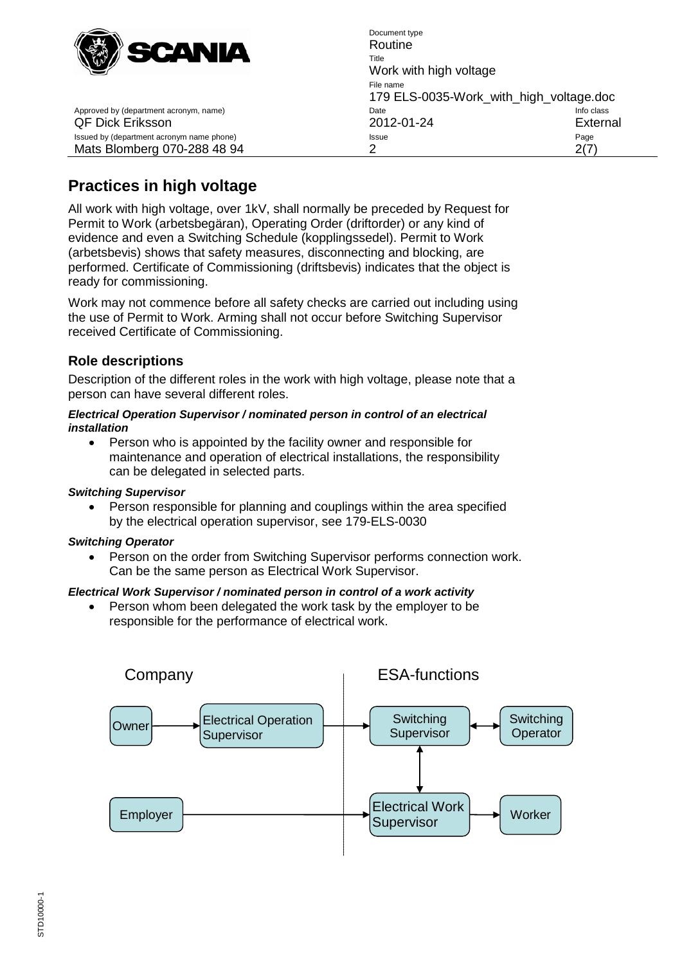

Document type Routine Title Work with high voltage File name 179 ELS-0035-Work\_with\_high\_voltage.doc<br>Date Info class Approved by (department acronym, name) date Info contains the International Date QF Dick Eriksson 2012-01-24 External Issued by (department acronym name phone) example according to the example of the Page Page Page Mats Blomberg 070-288 48 94 2 2(7)

# <span id="page-1-0"></span>**Practices in high voltage**

All work with high voltage, over 1kV, shall normally be preceded by Request for Permit to Work (arbetsbegäran), Operating Order (driftorder) or any kind of evidence and even a Switching Schedule (kopplingssedel). Permit to Work (arbetsbevis) shows that safety measures, disconnecting and blocking, are performed. Certificate of Commissioning (driftsbevis) indicates that the object is ready for commissioning.

Work may not commence before all safety checks are carried out including using the use of Permit to Work. Arming shall not occur before Switching Supervisor received Certificate of Commissioning.

## <span id="page-1-1"></span>**Role descriptions**

Description of the different roles in the work with high voltage, please note that a person can have several different roles.

#### <span id="page-1-2"></span>*Electrical Operation Supervisor / nominated person in control of an electrical installation*

• Person who is appointed by the facility owner and responsible for maintenance and operation of electrical installations, the responsibility can be delegated in selected parts.

#### <span id="page-1-3"></span>*Switching Supervisor*

Person responsible for planning and couplings within the area specified by the electrical operation supervisor, see 179-ELS-0030

#### <span id="page-1-4"></span>*Switching Operator*

Person on the order from Switching Supervisor performs connection work. Can be the same person as Electrical Work Supervisor.

#### <span id="page-1-5"></span>*Electrical Work Supervisor / nominated person in control of a work activity*

Person whom been delegated the work task by the employer to be responsible for the performance of electrical work.

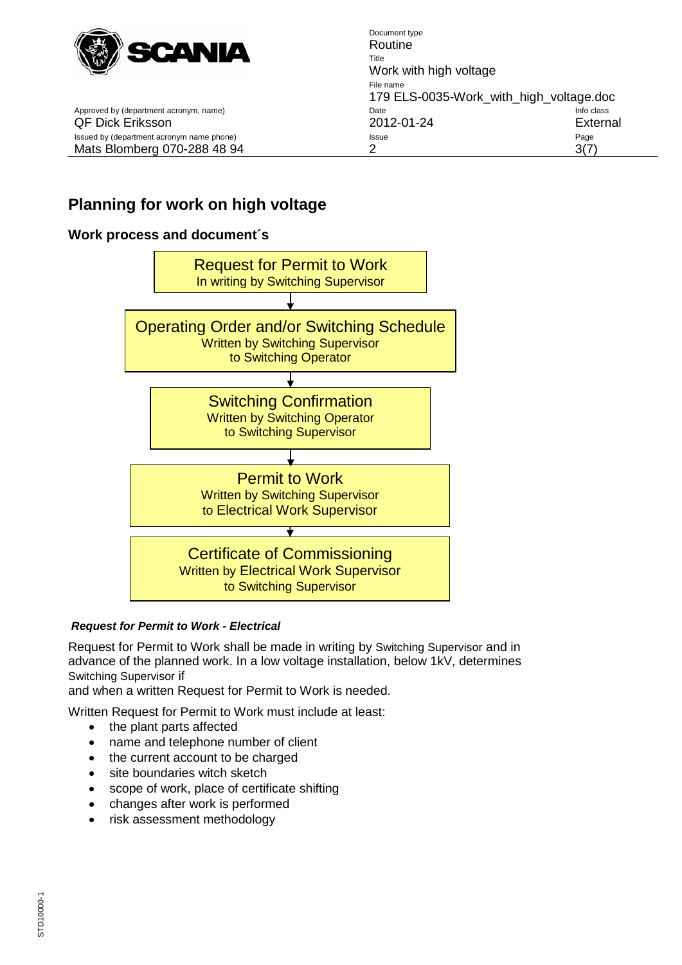

Approved by (department acronym, name)

Document type Routine Title Work with high voltage File name 179 ELS-0035-Work\_with\_high\_voltage.doc QF Dick Eriksson 2012-01-24 External Issued by (department acronym name phone) and a state of the state of the Page Page Page Mats Blomberg 070-288 48 94 2 2 3(7)

# <span id="page-2-0"></span>**Planning for work on high voltage**

## <span id="page-2-1"></span>**Work process and document´s**



#### <span id="page-2-2"></span>*Request for Permit to Work - Electrical*

Request for Permit to Work shall be made in writing by Switching Supervisor and in advance of the planned work. In a low voltage installation, below 1kV, determines Switching Supervisor if

and when a written Request for Permit to Work is needed.

Written Request for Permit to Work must include at least:

- the plant parts affected
- name and telephone number of client
- the current account to be charged
- site boundaries witch sketch
- scope of work, place of certificate shifting
- changes after work is performed
- <span id="page-2-3"></span>• risk assessment methodology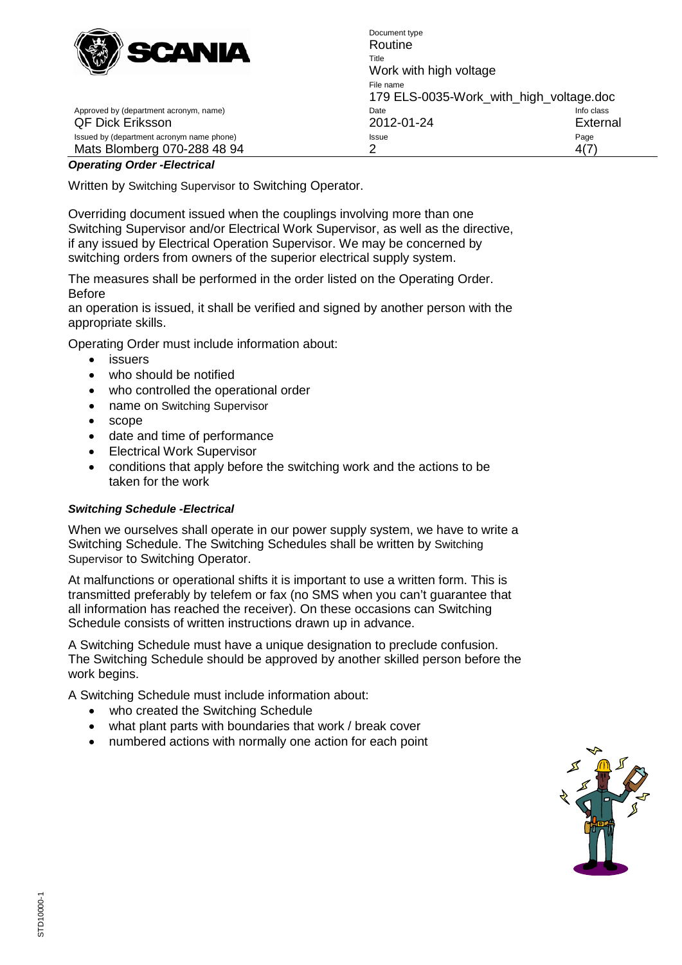

Document type Routine Title Work with high voltage File name 179 ELS-0035-Work\_with\_high\_voltage.doc<br>Date Info class Approved by (department acronym, name) department acronomic control class control class Date QF Dick Eriksson 2012-01-24 External Issued by (department acronym name phone) Issue Mats Blomberg 070-288 48 94 2 2 4(7)

# *Operating Order -Electrical*

Written by Switching Supervisor to Switching Operator.

Overriding document issued when the couplings involving more than one Switching Supervisor and/or Electrical Work Supervisor, as well as the directive, if any issued by Electrical Operation Supervisor. We may be concerned by switching orders from owners of the superior electrical supply system.

The measures shall be performed in the order listed on the Operating Order. Before

an operation is issued, it shall be verified and signed by another person with the appropriate skills.

Operating Order must include information about:

- issuers
- who should be notified
- who controlled the operational order
- name on Switching Supervisor
- scope
- date and time of performance
- Electrical Work Supervisor
- conditions that apply before the switching work and the actions to be taken for the work

#### <span id="page-3-0"></span>*Switching Schedule -Electrical*

When we ourselves shall operate in our power supply system, we have to write a Switching Schedule. The Switching Schedules shall be written by Switching Supervisor to Switching Operator.

At malfunctions or operational shifts it is important to use a written form. This is transmitted preferably by telefem or fax (no SMS when you can't guarantee that all information has reached the receiver). On these occasions can Switching Schedule consists of written instructions drawn up in advance.

A Switching Schedule must have a unique designation to preclude confusion. The Switching Schedule should be approved by another skilled person before the work begins.

A Switching Schedule must include information about:

- who created the Switching Schedule
- what plant parts with boundaries that work / break cover
- numbered actions with normally one action for each point

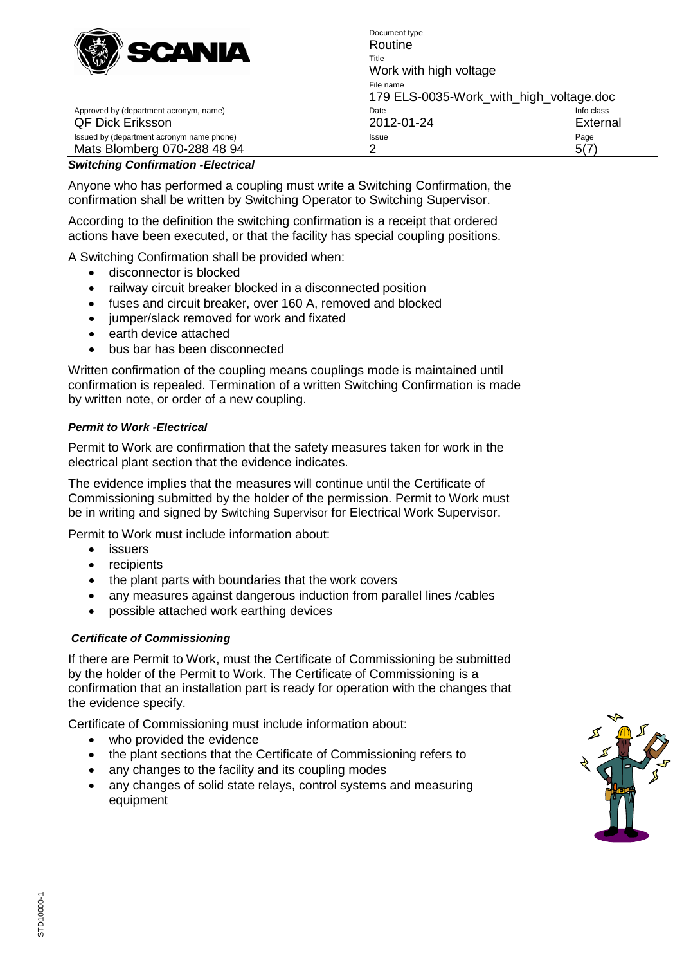

Document type Routine Title Work with high voltage File name 179 ELS-0035-Work\_with\_high\_voltage.doc<br>Date Info class Approved by (department acronym, name) department acronomic control control class Date QF Dick Eriksson 2012-01-24 External Issued by (department acronym name phone) and a state of the Issue Page Page Page Mats Blomberg 070-288 48 94 2 2 5(7)

### <span id="page-4-0"></span>*Switching Confirmation -Electrical*

Anyone who has performed a coupling must write a Switching Confirmation, the confirmation shall be written by Switching Operator to Switching Supervisor.

According to the definition the switching confirmation is a receipt that ordered actions have been executed, or that the facility has special coupling positions.

A Switching Confirmation shall be provided when:

- disconnector is blocked
- railway circuit breaker blocked in a disconnected position
- fuses and circuit breaker, over 160 A, removed and blocked
- jumper/slack removed for work and fixated
- earth device attached
- bus bar has been disconnected

Written confirmation of the coupling means couplings mode is maintained until confirmation is repealed. Termination of a written Switching Confirmation is made by written note, or order of a new coupling.

#### <span id="page-4-1"></span>*Permit to Work -Electrical*

Permit to Work are confirmation that the safety measures taken for work in the electrical plant section that the evidence indicates.

The evidence implies that the measures will continue until the Certificate of Commissioning submitted by the holder of the permission. Permit to Work must be in writing and signed by Switching Supervisor for Electrical Work Supervisor.

Permit to Work must include information about:

- issuers
- recipients
- the plant parts with boundaries that the work covers
- any measures against dangerous induction from parallel lines /cables
- possible attached work earthing devices

#### <span id="page-4-2"></span>*Certificate of Commissioning*

If there are Permit to Work, must the Certificate of Commissioning be submitted by the holder of the Permit to Work. The Certificate of Commissioning is a confirmation that an installation part is ready for operation with the changes that the evidence specify.

Certificate of Commissioning must include information about:

- who provided the evidence
- the plant sections that the Certificate of Commissioning refers to
- any changes to the facility and its coupling modes
- any changes of solid state relays, control systems and measuring equipment

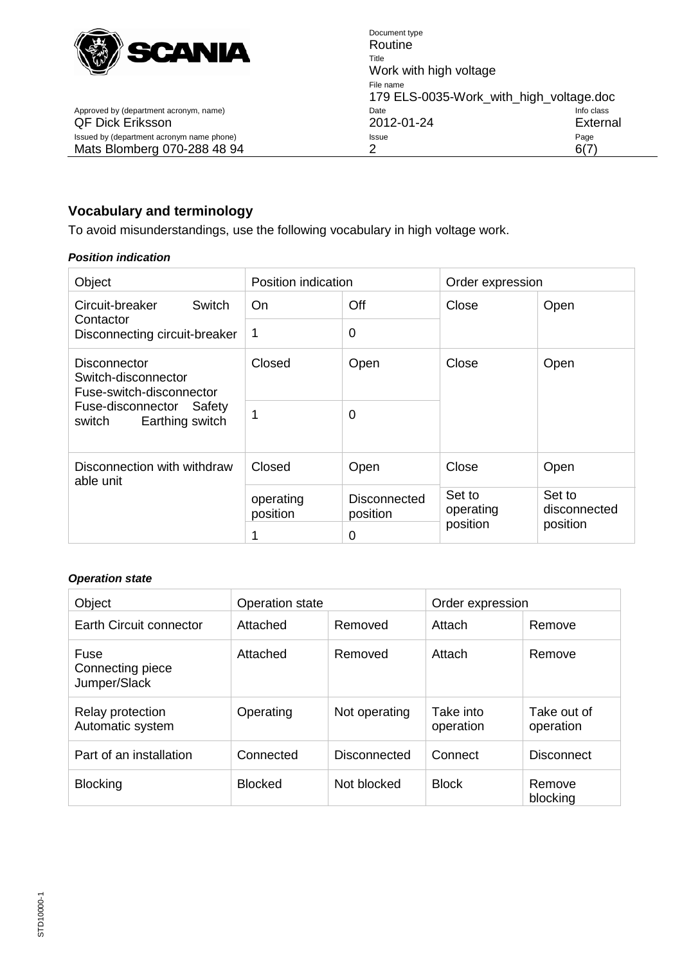

Document type Routine Title Work with high voltage File name 179 ELS-0035-Work\_with\_high\_voltage.doc Approved by (department acronym, name) Date Date Date Device info class Info class<br>
2012-01-24 External QF Dick Eriksson 2012-01-24 External Issued by (department acronym name phone) Issue Mats Blomberg 070-288 48 94 2 2 6(7)

# <span id="page-5-0"></span>**Vocabulary and terminology**

To avoid misunderstandings, use the following vocabulary in high voltage work.

#### <span id="page-5-1"></span>*Position indication*

| Object                                                                 | Position indication   |                                 | Order expression                |                                    |  |
|------------------------------------------------------------------------|-----------------------|---------------------------------|---------------------------------|------------------------------------|--|
| Circuit-breaker<br>Switch<br>Contactor                                 | On.                   | Off                             | Close                           | Open                               |  |
| Disconnecting circuit-breaker                                          |                       | 0                               |                                 |                                    |  |
| <b>Disconnector</b><br>Switch-disconnector<br>Fuse-switch-disconnector | Closed                | Open                            | Close                           | Open                               |  |
| Fuse-disconnector<br>Safety<br>Earthing switch<br>switch               | 1                     | 0                               |                                 |                                    |  |
| Disconnection with withdraw<br>able unit                               | Closed                | Open                            | Close                           | Open                               |  |
|                                                                        | operating<br>position | <b>Disconnected</b><br>position | Set to<br>operating<br>position | Set to<br>disconnected<br>position |  |
|                                                                        | 1                     | 0                               |                                 |                                    |  |

#### <span id="page-5-2"></span>*Operation state*

| Object                                   | <b>Operation state</b> |               | Order expression       |                          |
|------------------------------------------|------------------------|---------------|------------------------|--------------------------|
| Earth Circuit connector                  | Attached               | Removed       | Attach                 | Remove                   |
| Fuse<br>Connecting piece<br>Jumper/Slack | Attached               | Removed       | Attach                 | Remove                   |
| Relay protection<br>Automatic system     | Operating              | Not operating | Take into<br>operation | Take out of<br>operation |
| Part of an installation                  | Connected              | Disconnected  | Connect                | <b>Disconnect</b>        |
| <b>Blocking</b>                          | <b>Blocked</b>         | Not blocked   | <b>Block</b>           | Remove<br>blocking       |